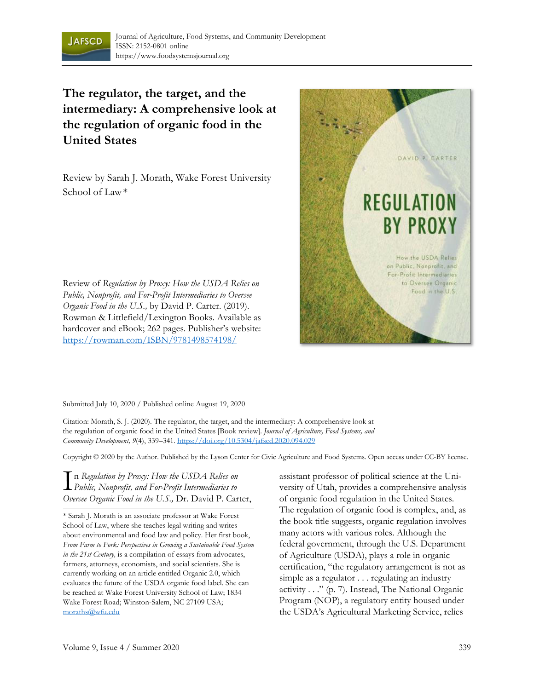

## **The regulator, the target, and the intermediary: A comprehensive look at the regulation of organic food in the United States**

Review by Sarah J. Morath, Wake Forest University School of Law\*



hardcover and eBook; 262 pages. Publisher's website: https://rowman.com/ISBN/9781498574198/

Review of *Regulation by Proxy: How the USDA Relies on Public, Nonprofit, and For-Profit Intermediaries to Oversee Organic Food in the U.S.,* by David P. Carter. (2019). Rowman & Littlefield/Lexington Books. Available as

Submitted July 10, 2020 / Published online August 19, 2020

Citation: Morath, S. J. (2020). The regulator, the target, and the intermediary: A comprehensive look at the regulation of organic food in the United States [Book review]. *Journal of Agriculture, Food Systems, and Community Development, 9*(4), 339–341. https://doi.org/10.5304/jafscd.2020.094.029

Copyright © 2020 by the Author. Published by the Lyson Center for Civic Agriculture and Food Systems. Open access under CC-BY license.

n *Regulation by Proxy: How the USDA Relies on Public, Nonprofit, and For-Profit Intermediaries to*  I *Oversee Organic Food in the U.S.,* Dr. David P. Carter,

\* Sarah J. Morath is an associate professor at Wake Forest School of Law, where she teaches legal writing and writes about environmental and food law and policy. Her first book, *From Farm to Fork: Perspectives in Growing a Sustainable Food System in the 21st Century,* is a compilation of essays from advocates, farmers, attorneys, economists, and social scientists. She is currently working on an article entitled Organic 2.0, which evaluates the future of the USDA organic food label. She can be reached at Wake Forest University School of Law; 1834 Wake Forest Road; Winston-Salem, NC 27109 USA; moraths@wfu.edu

assistant professor of political science at the University of Utah, provides a comprehensive analysis of organic food regulation in the United States. The regulation of organic food is complex, and, as the book title suggests, organic regulation involves many actors with various roles. Although the federal government, through the U.S. Department of Agriculture (USDA), plays a role in organic certification, "the regulatory arrangement is not as simple as a regulator . . . regulating an industry activity . . ." (p. 7). Instead, The National Organic Program (NOP), a regulatory entity housed under the USDA's Agricultural Marketing Service, relies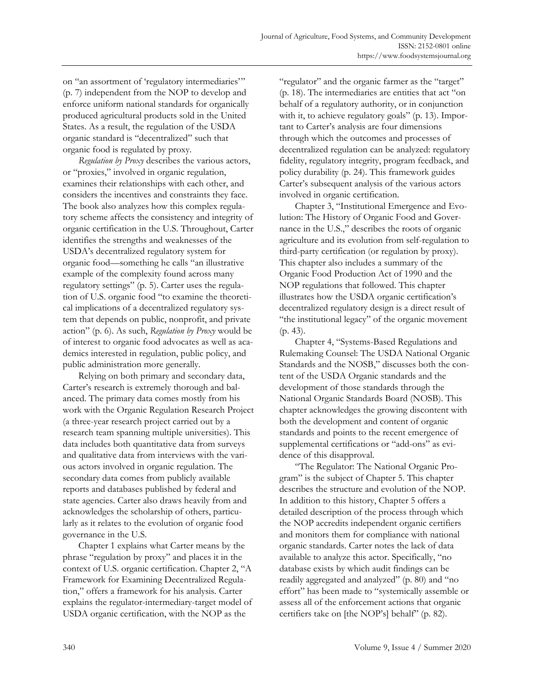on "an assortment of 'regulatory intermediaries'" (p. 7) independent from the NOP to develop and enforce uniform national standards for organically produced agricultural products sold in the United States. As a result, the regulation of the USDA organic standard is "decentralized" such that organic food is regulated by proxy.

*Regulation by Proxy* describes the various actors, or "proxies," involved in organic regulation, examines their relationships with each other, and considers the incentives and constraints they face. The book also analyzes how this complex regulatory scheme affects the consistency and integrity of organic certification in the U.S. Throughout, Carter identifies the strengths and weaknesses of the USDA's decentralized regulatory system for organic food—something he calls "an illustrative example of the complexity found across many regulatory settings" (p. 5). Carter uses the regulation of U.S. organic food "to examine the theoretical implications of a decentralized regulatory system that depends on public, nonprofit, and private action" (p. 6). As such, *Regulation by Proxy* would be of interest to organic food advocates as well as academics interested in regulation, public policy, and public administration more generally.

 Relying on both primary and secondary data, Carter's research is extremely thorough and balanced. The primary data comes mostly from his work with the Organic Regulation Research Project (a three-year research project carried out by a research team spanning multiple universities). This data includes both quantitative data from surveys and qualitative data from interviews with the various actors involved in organic regulation. The secondary data comes from publicly available reports and databases published by federal and state agencies. Carter also draws heavily from and acknowledges the scholarship of others, particularly as it relates to the evolution of organic food governance in the U.S.

 Chapter 1 explains what Carter means by the phrase "regulation by proxy" and places it in the context of U.S. organic certification. Chapter 2, "A Framework for Examining Decentralized Regulation," offers a framework for his analysis. Carter explains the regulator-intermediary-target model of USDA organic certification, with the NOP as the

"regulator" and the organic farmer as the "target" (p. 18). The intermediaries are entities that act "on behalf of a regulatory authority, or in conjunction with it, to achieve regulatory goals" (p. 13). Important to Carter's analysis are four dimensions through which the outcomes and processes of decentralized regulation can be analyzed: regulatory fidelity, regulatory integrity, program feedback, and policy durability (p. 24). This framework guides Carter's subsequent analysis of the various actors involved in organic certification.

 Chapter 3, "Institutional Emergence and Evolution: The History of Organic Food and Governance in the U.S.," describes the roots of organic agriculture and its evolution from self-regulation to third-party certification (or regulation by proxy). This chapter also includes a summary of the Organic Food Production Act of 1990 and the NOP regulations that followed. This chapter illustrates how the USDA organic certification's decentralized regulatory design is a direct result of "the institutional legacy" of the organic movement (p. 43).

 Chapter 4, "Systems-Based Regulations and Rulemaking Counsel: The USDA National Organic Standards and the NOSB," discusses both the content of the USDA Organic standards and the development of those standards through the National Organic Standards Board (NOSB). This chapter acknowledges the growing discontent with both the development and content of organic standards and points to the recent emergence of supplemental certifications or "add-ons" as evidence of this disapproval.

 "The Regulator: The National Organic Program" is the subject of Chapter 5. This chapter describes the structure and evolution of the NOP. In addition to this history, Chapter 5 offers a detailed description of the process through which the NOP accredits independent organic certifiers and monitors them for compliance with national organic standards. Carter notes the lack of data available to analyze this actor. Specifically, "no database exists by which audit findings can be readily aggregated and analyzed" (p. 80) and "no effort" has been made to "systemically assemble or assess all of the enforcement actions that organic certifiers take on [the NOP's] behalf" (p. 82).